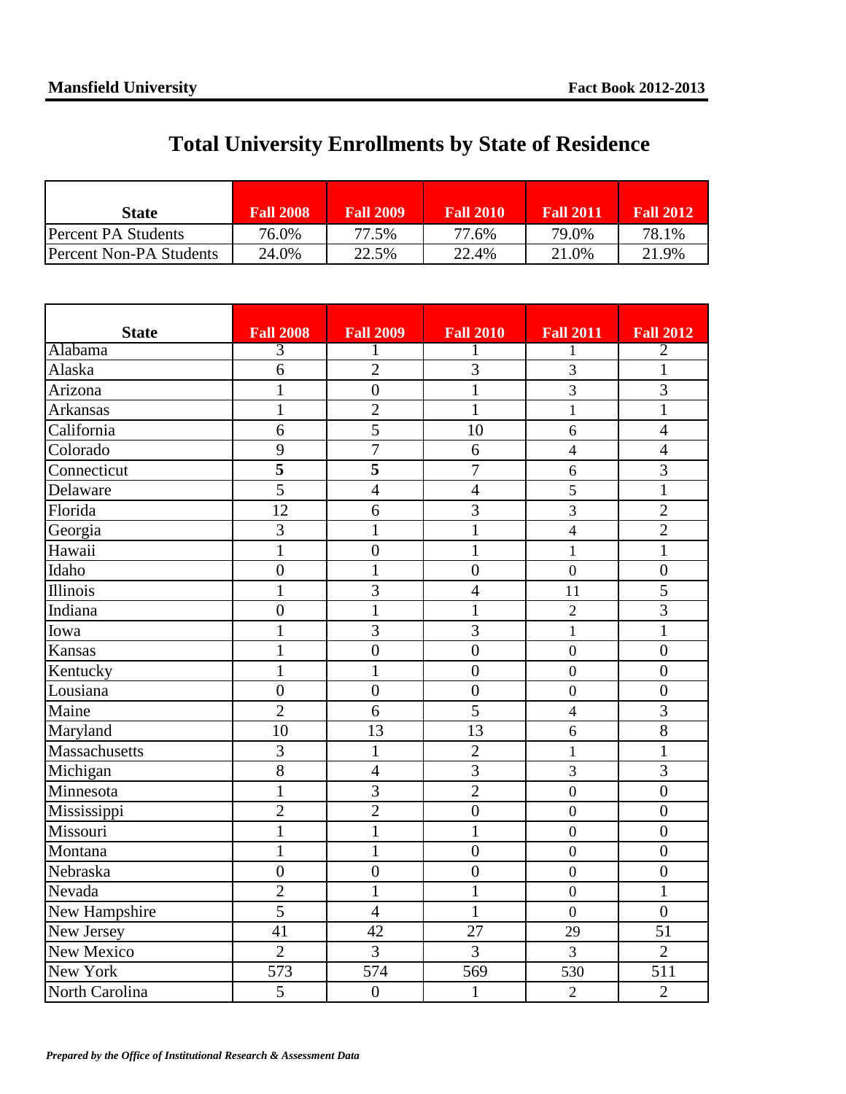## **Total University Enrollments by State of Residence**

| <b>State</b>            | <b>Fall 2008</b> | <b>Fall 2009</b> | <b>Fall 2010</b> | <b>Fall 2011</b> | <b>Fall 2012</b> |
|-------------------------|------------------|------------------|------------------|------------------|------------------|
| Percent PA Students     | 76.0%            | 77.5%            | 77.6%            | 79.0%            | 78.1%            |
| Percent Non-PA Students | 24.0%            | 22.5%            | 22.4%            | 21.0%            | 21.9%            |

| <b>State</b>   | <b>Fall 2008</b> | <b>Fall 2009</b> | <b>Fall 2010</b> | <b>Fall 2011</b> | <b>Fall 2012</b> |
|----------------|------------------|------------------|------------------|------------------|------------------|
| Alabama        | 3                |                  | 1                | 1                | $\overline{2}$   |
| Alaska         | 6                | $\overline{2}$   | 3                | 3                | 1                |
| Arizona        | $\mathbf{1}$     | $\overline{0}$   | $\mathbf{1}$     | 3                | $\overline{3}$   |
| Arkansas       | $\mathbf{1}$     | $\overline{2}$   | $\mathbf{1}$     | $\mathbf{1}$     | $\mathbf{1}$     |
| California     | 6                | 5                | 10               | 6                | $\overline{4}$   |
| Colorado       | 9                | $\overline{7}$   | 6                | $\overline{4}$   | $\overline{4}$   |
| Connecticut    | 5                | 5                | $\overline{7}$   | 6                | 3                |
| Delaware       | 5                | $\overline{4}$   | $\overline{4}$   | 5                | $\mathbf{1}$     |
| Florida        | 12               | 6                | $\overline{3}$   | 3                | $\overline{2}$   |
| Georgia        | $\overline{3}$   | $\mathbf{1}$     | $\mathbf{1}$     | $\overline{4}$   | $\overline{2}$   |
| Hawaii         | $\mathbf{1}$     | $\boldsymbol{0}$ | $\mathbf{1}$     | $\mathbf{1}$     | 1                |
| Idaho          | $\overline{0}$   | $\mathbf{1}$     | $\overline{0}$   | $\mathbf{0}$     | $\overline{0}$   |
| Illinois       | $\mathbf{1}$     | $\overline{3}$   | $\overline{4}$   | 11               | 5                |
| Indiana        | $\overline{0}$   | $\mathbf{1}$     | $\mathbf{1}$     | $\overline{2}$   | $\overline{3}$   |
| Iowa           | $\mathbf{1}$     | 3                | 3                | $\mathbf{1}$     | $\mathbf{1}$     |
| Kansas         | $\mathbf{1}$     | $\overline{0}$   | $\overline{0}$   | $\mathbf{0}$     | $\overline{0}$   |
| Kentucky       | $\mathbf{1}$     | $\mathbf{1}$     | $\boldsymbol{0}$ | $\mathbf{0}$     | $\overline{0}$   |
| Lousiana       | $\boldsymbol{0}$ | $\overline{0}$   | $\overline{0}$   | $\mathbf{0}$     | $\overline{0}$   |
| Maine          | $\overline{2}$   | 6                | 5                | $\overline{4}$   | $\overline{3}$   |
| Maryland       | 10               | 13               | 13               | 6                | 8                |
| Massachusetts  | 3                | $\mathbf{1}$     | $\overline{2}$   | $\mathbf{1}$     | $\mathbf{1}$     |
| Michigan       | $\overline{8}$   | $\overline{4}$   | $\overline{3}$   | 3                | $\overline{3}$   |
| Minnesota      | $\mathbf{1}$     | 3                | $\overline{2}$   | $\boldsymbol{0}$ | $\boldsymbol{0}$ |
| Mississippi    | $\overline{2}$   | $\overline{2}$   | $\overline{0}$   | $\mathbf{0}$     | $\overline{0}$   |
| Missouri       | $\mathbf{1}$     | $\mathbf{1}$     | $\mathbf{1}$     | $\overline{0}$   | $\overline{0}$   |
| Montana        | $\mathbf{1}$     | $\mathbf{1}$     | $\overline{0}$   | $\overline{0}$   | $\overline{0}$   |
| Nebraska       | $\overline{0}$   | $\overline{0}$   | $\boldsymbol{0}$ | $\overline{0}$   | $\overline{0}$   |
| Nevada         | $\overline{2}$   | $\mathbf{1}$     | $\mathbf{1}$     | $\overline{0}$   | $\mathbf{1}$     |
| New Hampshire  | $\overline{5}$   | $\overline{4}$   | $\mathbf{1}$     | $\mathbf{0}$     | $\overline{0}$   |
| New Jersey     | 41               | 42               | 27               | 29               | 51               |
| New Mexico     | $\overline{2}$   | 3                | 3                | 3                | $\overline{2}$   |
| New York       | 573              | 574              | 569              | 530              | 511              |
| North Carolina | 5                | $\overline{0}$   | $\mathbf{1}$     | $\overline{2}$   | $\overline{2}$   |